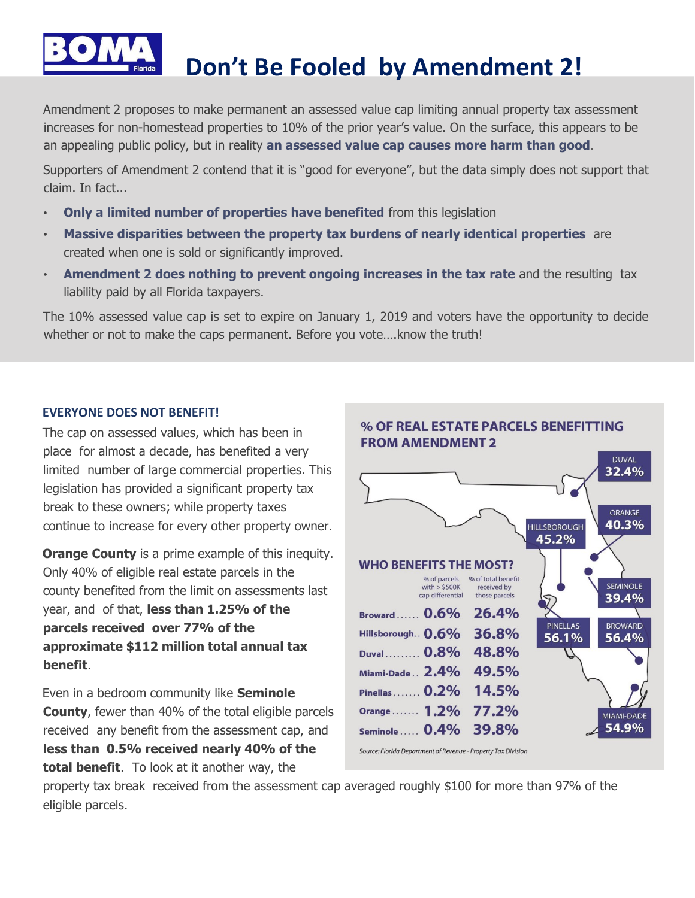

# **Don't Be Fooled by Amendment 2!**

Amendment 2 proposes to make permanent an assessed value cap limiting annual property tax assessment increases for non-homestead properties to 10% of the prior year's value. On the surface, this appears to be an appealing public policy, but in reality **an assessed value cap causes more harm than good**.

Supporters of Amendment 2 contend that it is "good for everyone", but the data simply does not support that claim. In fact...

- **Only a limited number of properties have benefited** from this legislation
- **Massive disparities between the property tax burdens of nearly identical properties** are created when one is sold or significantly improved.
- **Amendment 2 does nothing to prevent ongoing increases in the tax rate** and the resulting tax liability paid by all Florida taxpayers.

The 10% assessed value cap is set to expire on January 1, 2019 and voters have the opportunity to decide whether or not to make the caps permanent. Before you vote….know the truth!

#### **EVERYONE DOES NOT BENEFIT!**

The cap on assessed values, which has been in place for almost a decade, has benefited a very limited number of large commercial properties. This legislation has provided a significant property tax break to these owners; while property taxes continue to increase for every other property owner.

**Orange County** is a prime example of this inequity. Only 40% of eligible real estate parcels in the county benefited from the limit on assessments last year, and of that, **less than 1.25% of the parcels received over 77% of the approximate \$112 million total annual tax benefit**.

Even in a bedroom community like **Seminole County**, fewer than 40% of the total eligible parcels received any benefit from the assessment cap, and **less than 0.5% received nearly 40% of the total benefit**. To look at it another way, the



property tax break received from the assessment cap averaged roughly \$100 for more than 97% of the eligible parcels.